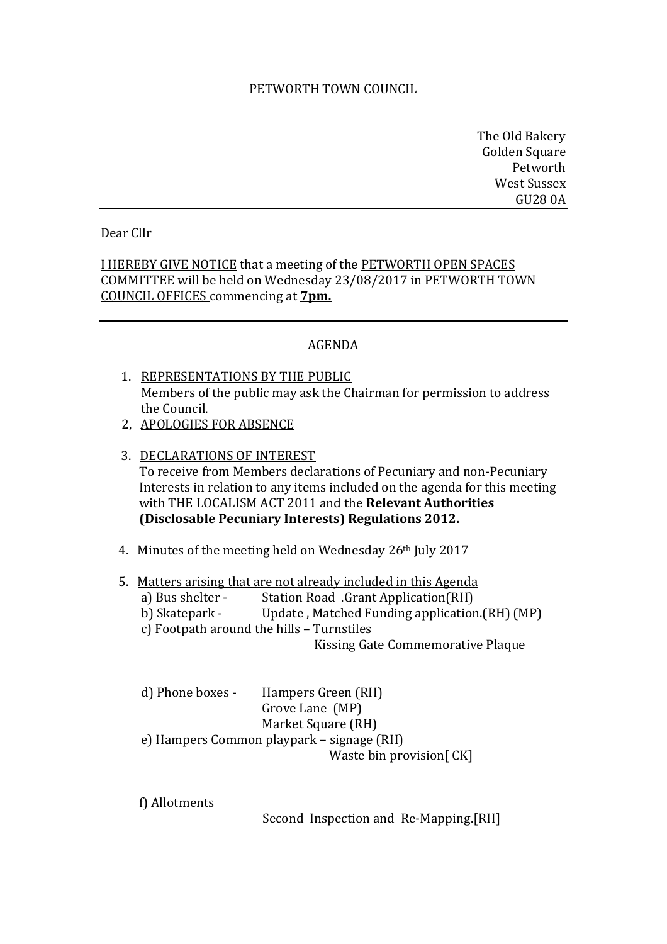## PETWORTH TOWN COUNCIL

The Old Bakery Golden Square Petworth West Sussex GU28 0A

## Dear Cllr

I HEREBY GIVE NOTICE that a meeting of the PETWORTH OPEN SPACES COMMITTEE will be held on Wednesday 23/08/2017 in PETWORTH TOWN COUNCIL OFFICES commencing at **7pm.**

## AGENDA

- 1. REPRESENTATIONS BY THE PUBLIC Members of the public may ask the Chairman for permission to address the Council.
- 2, APOLOGIES FOR ABSENCE
- 3. DECLARATIONS OF INTEREST To receive from Members declarations of Pecuniary and non-Pecuniary Interests in relation to any items included on the agenda for this meeting with THE LOCALISM ACT 2011 and the **Relevant Authorities (Disclosable Pecuniary Interests) Regulations 2012.**
- 4. Minutes of the meeting held on Wednesday 26th July 2017
- 5. Matters arising that are not already included in this Agenda
	- a) Bus shelter Station Road .Grant Application(RH)
	- b) Skatepark Update , Matched Funding application.(RH) (MP)
	- c) Footpath around the hills Turnstiles

Kissing Gate Commemorative Plaque

| d) Phone boxes -                          | Hampers Green (RH)         |
|-------------------------------------------|----------------------------|
|                                           | Grove Lane (MP)            |
|                                           | Market Square (RH)         |
| e) Hampers Common playpark – signage (RH) |                            |
|                                           | Waste bin provision $CK$ ] |

f) Allotments

Second Inspection and Re-Mapping.[RH]